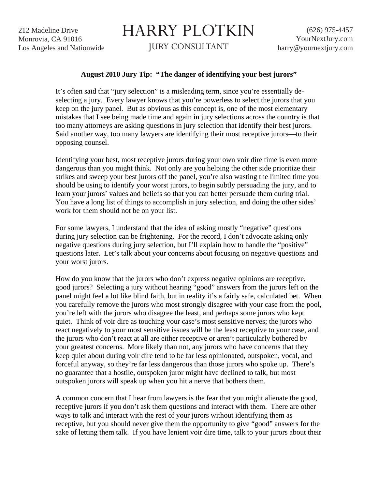212 Madeline Drive Monrovia, CA 91016 Los Angeles and Nationwide

## HARRY PLOTKIN

JURY CONSULTANT

## **August 2010 Jury Tip: "The danger of identifying your best jurors"**

It's often said that "jury selection" is a misleading term, since you're essentially deselecting a jury. Every lawyer knows that you're powerless to select the jurors that you keep on the jury panel. But as obvious as this concept is, one of the most elementary mistakes that I see being made time and again in jury selections across the country is that too many attorneys are asking questions in jury selection that identify their best jurors. Said another way, too many lawyers are identifying their most receptive jurors—to their opposing counsel.

Identifying your best, most receptive jurors during your own voir dire time is even more dangerous than you might think. Not only are you helping the other side prioritize their strikes and sweep your best jurors off the panel, you're also wasting the limited time you should be using to identify your worst jurors, to begin subtly persuading the jury, and to learn your jurors' values and beliefs so that you can better persuade them during trial. You have a long list of things to accomplish in jury selection, and doing the other sides' work for them should not be on your list.

For some lawyers, I understand that the idea of asking mostly "negative" questions during jury selection can be frightening. For the record, I don't advocate asking only negative questions during jury selection, but I'll explain how to handle the "positive" questions later. Let's talk about your concerns about focusing on negative questions and your worst jurors.

How do you know that the jurors who don't express negative opinions are receptive, good jurors? Selecting a jury without hearing "good" answers from the jurors left on the panel might feel a lot like blind faith, but in reality it's a fairly safe, calculated bet. When you carefully remove the jurors who most strongly disagree with your case from the pool, you're left with the jurors who disagree the least, and perhaps some jurors who kept quiet. Think of voir dire as touching your case's most sensitive nerves; the jurors who react negatively to your most sensitive issues will be the least receptive to your case, and the jurors who don't react at all are either receptive or aren't particularly bothered by your greatest concerns. More likely than not, any jurors who have concerns that they keep quiet about during voir dire tend to be far less opinionated, outspoken, vocal, and forceful anyway, so they're far less dangerous than those jurors who spoke up. There's no guarantee that a hostile, outspoken juror might have declined to talk, but most outspoken jurors will speak up when you hit a nerve that bothers them.

A common concern that I hear from lawyers is the fear that you might alienate the good, receptive jurors if you don't ask them questions and interact with them. There are other ways to talk and interact with the rest of your jurors without identifying them as receptive, but you should never give them the opportunity to give "good" answers for the sake of letting them talk. If you have lenient voir dire time, talk to your jurors about their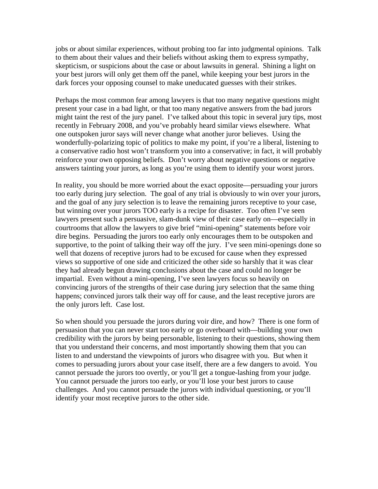jobs or about similar experiences, without probing too far into judgmental opinions. Talk to them about their values and their beliefs without asking them to express sympathy, skepticism, or suspicions about the case or about lawsuits in general. Shining a light on your best jurors will only get them off the panel, while keeping your best jurors in the dark forces your opposing counsel to make uneducated guesses with their strikes.

Perhaps the most common fear among lawyers is that too many negative questions might present your case in a bad light, or that too many negative answers from the bad jurors might taint the rest of the jury panel. I've talked about this topic in several jury tips, most recently in February 2008, and you've probably heard similar views elsewhere. What one outspoken juror says will never change what another juror believes. Using the wonderfully-polarizing topic of politics to make my point, if you're a liberal, listening to a conservative radio host won't transform you into a conservative; in fact, it will probably reinforce your own opposing beliefs. Don't worry about negative questions or negative answers tainting your jurors, as long as you're using them to identify your worst jurors.

In reality, you should be more worried about the exact opposite—persuading your jurors too early during jury selection. The goal of any trial is obviously to win over your jurors, and the goal of any jury selection is to leave the remaining jurors receptive to your case, but winning over your jurors TOO early is a recipe for disaster. Too often I've seen lawyers present such a persuasive, slam-dunk view of their case early on—especially in courtrooms that allow the lawyers to give brief "mini-opening" statements before voir dire begins. Persuading the jurors too early only encourages them to be outspoken and supportive, to the point of talking their way off the jury. I've seen mini-openings done so well that dozens of receptive jurors had to be excused for cause when they expressed views so supportive of one side and criticized the other side so harshly that it was clear they had already begun drawing conclusions about the case and could no longer be impartial. Even without a mini-opening, I've seen lawyers focus so heavily on convincing jurors of the strengths of their case during jury selection that the same thing happens; convinced jurors talk their way off for cause, and the least receptive jurors are the only jurors left. Case lost.

So when should you persuade the jurors during voir dire, and how? There is one form of persuasion that you can never start too early or go overboard with—building your own credibility with the jurors by being personable, listening to their questions, showing them that you understand their concerns, and most importantly showing them that you can listen to and understand the viewpoints of jurors who disagree with you. But when it comes to persuading jurors about your case itself, there are a few dangers to avoid. You cannot persuade the jurors too overtly, or you'll get a tongue-lashing from your judge. You cannot persuade the jurors too early, or you'll lose your best jurors to cause challenges. And you cannot persuade the jurors with individual questioning, or you'll identify your most receptive jurors to the other side.